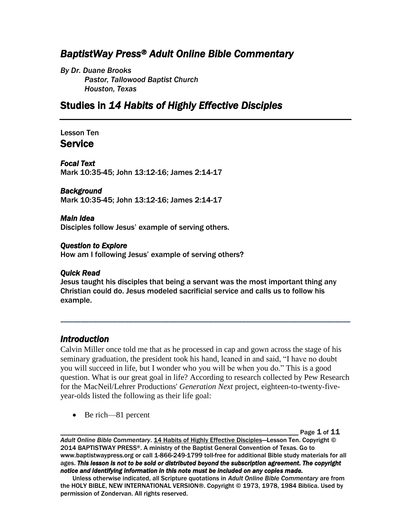# *BaptistWay Press® Adult Online Bible Commentary*

*By Dr. Duane Brooks Pastor, Tallowood Baptist Church Houston, Texas*

# Studies in *14 Habits of Highly Effective Disciples*

#### Lesson Ten Service

*Focal Text* 

Mark 10:35-45; John 13:12-16; James 2:14-17

#### *Background*

Mark 10:35-45; John 13:12-16; James 2:14-17

#### *Main Idea*

Disciples follow Jesus' example of serving others.

#### *Question to Explore*

How am I following Jesus' example of serving others?

#### *Quick Read*

Jesus taught his disciples that being a servant was the most important thing any Christian could do. Jesus modeled sacrificial service and calls us to follow his example.

## *Introduction*

Calvin Miller once told me that as he processed in cap and gown across the stage of his seminary graduation, the president took his hand, leaned in and said, "I have no doubt you will succeed in life, but I wonder who you will be when you do." This is a good question. What is our great goal in life? According to research collected by Pew Research for the MacNeil/Lehrer Productions' *Generation Next* project, eighteen-to-twenty-fiveyear-olds listed the following as their life goal:

*\_\_\_\_\_\_\_\_\_\_\_\_\_\_\_\_\_\_\_\_\_\_\_\_\_\_\_\_\_\_\_\_\_\_\_\_\_\_\_\_\_\_\_\_\_\_\_\_\_\_\_\_\_\_\_\_\_\_\_\_\_\_\_\_\_\_\_\_\_\_\_\_*

• Be rich—81 percent

Page  $1$  of  $11$ 

*Adult Online Bible Commentary*. 14 Habits of Highly Effective Disciples—Lesson Ten. Copyright © 2014 BAPTISTWAY PRESS®. A ministry of the Baptist General Convention of Texas. Go to www.baptistwaypress.org or call 1-866-249-1799 toll-free for additional Bible study materials for all ages. *This lesson is not to be sold or distributed beyond the subscription agreement. The copyright notice and identifying information in this note must be included on any copies made.* 

Unless otherwise indicated, all Scripture quotations in *Adult Online Bible Commentary* are from the HOLY BIBLE, NEW INTERNATIONAL VERSION®. Copyright © 1973, 1978, 1984 Biblica. Used by permission of Zondervan. All rights reserved.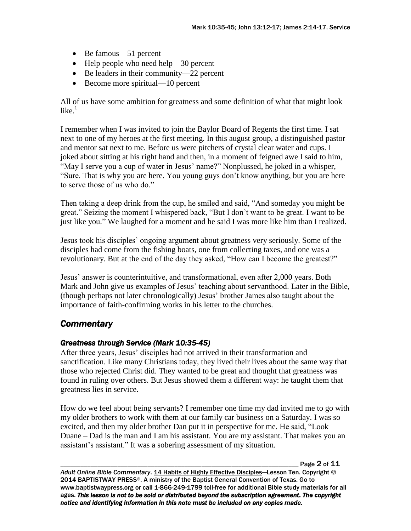- Be famous—51 percent
- Help people who need help—30 percent
- Be leaders in their community—22 percent
- Become more spiritual—10 percent

All of us have some ambition for greatness and some definition of what that might look like. 1

I remember when I was invited to join the Baylor Board of Regents the first time. I sat next to one of my heroes at the first meeting. In this august group, a distinguished pastor and mentor sat next to me. Before us were pitchers of crystal clear water and cups. I joked about sitting at his right hand and then, in a moment of feigned awe I said to him, "May I serve you a cup of water in Jesus' name?" Nonplussed, he joked in a whisper, "Sure. That is why you are here. You young guys don't know anything, but you are here to serve those of us who do."

Then taking a deep drink from the cup, he smiled and said, "And someday you might be great." Seizing the moment I whispered back, "But I don't want to be great. I want to be just like you." We laughed for a moment and he said I was more like him than I realized.

Jesus took his disciples' ongoing argument about greatness very seriously. Some of the disciples had come from the fishing boats, one from collecting taxes, and one was a revolutionary. But at the end of the day they asked, "How can I become the greatest?"

Jesus' answer is counterintuitive, and transformational, even after 2,000 years. Both Mark and John give us examples of Jesus' teaching about servanthood. Later in the Bible, (though perhaps not later chronologically) Jesus' brother James also taught about the importance of faith-confirming works in his letter to the churches.

## *Commentary*

## *Greatness through Service (Mark 10:35-45)*

After three years, Jesus' disciples had not arrived in their transformation and sanctification. Like many Christians today, they lived their lives about the same way that those who rejected Christ did. They wanted to be great and thought that greatness was found in ruling over others. But Jesus showed them a different way: he taught them that greatness lies in service.

How do we feel about being servants? I remember one time my dad invited me to go with my older brothers to work with them at our family car business on a Saturday. I was so excited, and then my older brother Dan put it in perspective for me. He said, "Look Duane – Dad is the man and I am his assistant. You are my assistant. That makes you an assistant's assistant." It was a sobering assessment of my situation.

Page 2 of 11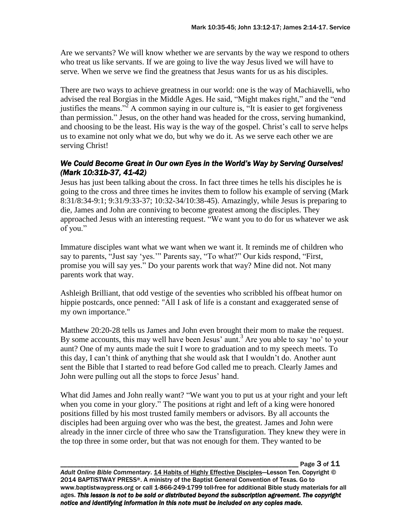Are we servants? We will know whether we are servants by the way we respond to others who treat us like servants. If we are going to live the way Jesus lived we will have to serve. When we serve we find the greatness that Jesus wants for us as his disciples.

There are two ways to achieve greatness in our world: one is the way of Machiavelli, who advised the real Borgias in the Middle Ages. He said, "Might makes right," and the "end justifies the means."<sup>2</sup> A common saying in our culture is, "It is easier to get forgiveness" than permission." Jesus, on the other hand was headed for the cross, serving humankind, and choosing to be the least. His way is the way of the gospel. Christ's call to serve helps us to examine not only what we do, but why we do it. As we serve each other we are serving Christ!

### *We Could Become Great in Our own Eyes in the World's Way by Serving Ourselves! (Mark 10:31b-37, 41-42)*

Jesus has just been talking about the cross. In fact three times he tells his disciples he is going to the cross and three times he invites them to follow his example of serving (Mark 8:31/8:34-9:1; 9:31/9:33-37; 10:32-34/10:38-45). Amazingly, while Jesus is preparing to die, James and John are conniving to become greatest among the disciples. They approached Jesus with an interesting request. "We want you to do for us whatever we ask of you."

Immature disciples want what we want when we want it. It reminds me of children who say to parents, "Just say 'yes.'" Parents say, "To what?" Our kids respond, "First, promise you will say yes." Do your parents work that way? Mine did not. Not many parents work that way.

Ashleigh Brilliant, that odd vestige of the seventies who scribbled his offbeat humor on hippie postcards, once penned: "All I ask of life is a constant and exaggerated sense of my own importance."

Matthew 20:20-28 tells us James and John even brought their mom to make the request. By some accounts, this may well have been Jesus' aunt.<sup>3</sup> Are you able to say 'no' to your aunt? One of my aunts made the suit I wore to graduation and to my speech meets. To this day, I can't think of anything that she would ask that I wouldn't do. Another aunt sent the Bible that I started to read before God called me to preach. Clearly James and John were pulling out all the stops to force Jesus' hand.

What did James and John really want? "We want you to put us at your right and your left when you come in your glory." The positions at right and left of a king were honored positions filled by his most trusted family members or advisors. By all accounts the disciples had been arguing over who was the best, the greatest. James and John were already in the inner circle of three who saw the Transfiguration. They knew they were in the top three in some order, but that was not enough for them. They wanted to be

Page 3 of 11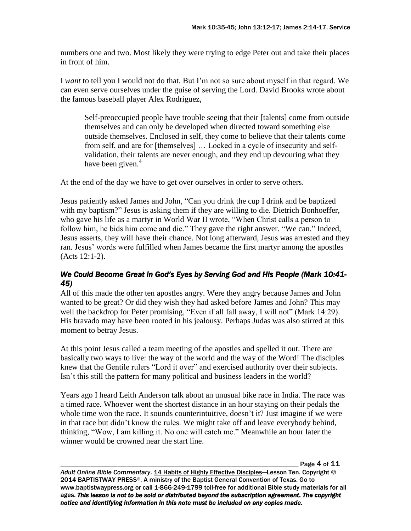numbers one and two. Most likely they were trying to edge Peter out and take their places in front of him.

I *want* to tell you I would not do that. But I'm not so sure about myself in that regard. We can even serve ourselves under the guise of serving the Lord. David Brooks wrote about the famous baseball player Alex Rodriguez,

Self-preoccupied people have trouble seeing that their [talents] come from outside themselves and can only be developed when directed toward something else outside themselves. Enclosed in self, they come to believe that their talents come from self, and are for [themselves] … Locked in a cycle of insecurity and selfvalidation, their talents are never enough, and they end up devouring what they have been given.<sup>4</sup>

At the end of the day we have to get over ourselves in order to serve others.

Jesus patiently asked James and John, "Can you drink the cup I drink and be baptized with my baptism?" Jesus is asking them if they are willing to die. Dietrich Bonhoeffer, who gave his life as a martyr in World War II wrote, "When Christ calls a person to follow him, he bids him come and die." They gave the right answer. "We can." Indeed, Jesus asserts, they will have their chance. Not long afterward, Jesus was arrested and they ran. Jesus' words were fulfilled when James became the first martyr among the apostles (Acts 12:1-2).

#### *We Could Become Great in God's Eyes by Serving God and His People (Mark 10:41- 45)*

All of this made the other ten apostles angry. Were they angry because James and John wanted to be great? Or did they wish they had asked before James and John? This may well the backdrop for Peter promising, "Even if all fall away, I will not" (Mark 14:29). His bravado may have been rooted in his jealousy. Perhaps Judas was also stirred at this moment to betray Jesus.

At this point Jesus called a team meeting of the apostles and spelled it out. There are basically two ways to live: the way of the world and the way of the Word! The disciples knew that the Gentile rulers "Lord it over" and exercised authority over their subjects. Isn't this still the pattern for many political and business leaders in the world?

Years ago I heard Leith Anderson talk about an unusual bike race in India. The race was a timed race. Whoever went the shortest distance in an hour staying on their pedals the whole time won the race. It sounds counterintuitive, doesn't it? Just imagine if we were in that race but didn't know the rules. We might take off and leave everybody behind, thinking, "Wow, I am killing it. No one will catch me." Meanwhile an hour later the winner would be crowned near the start line.

Page  $4$  of  $11$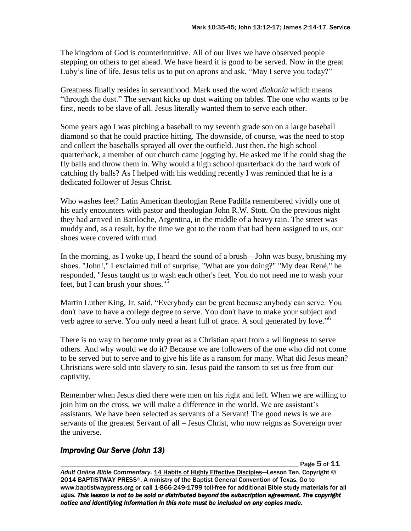The kingdom of God is counterintuitive. All of our lives we have observed people stepping on others to get ahead. We have heard it is good to be served. Now in the great Luby's line of life, Jesus tells us to put on aprons and ask, "May I serve you today?"

Greatness finally resides in servanthood. Mark used the word *diakonia* which means "through the dust." The servant kicks up dust waiting on tables. The one who wants to be first, needs to be slave of all. Jesus literally wanted them to serve each other.

Some years ago I was pitching a baseball to my seventh grade son on a large baseball diamond so that he could practice hitting. The downside, of course, was the need to stop and collect the baseballs sprayed all over the outfield. Just then, the high school quarterback, a member of our church came jogging by. He asked me if he could shag the fly balls and throw them in. Why would a high school quarterback do the hard work of catching fly balls? As I helped with his wedding recently I was reminded that he is a dedicated follower of Jesus Christ.

Who washes feet? Latin American theologian Rene Padilla remembered vividly one of his early encounters with pastor and theologian John R.W. Stott. On the previous night they had arrived in Bariloche, Argentina, in the middle of a heavy rain. The street was muddy and, as a result, by the time we got to the room that had been assigned to us, our shoes were covered with mud.

In the morning, as I woke up, I heard the sound of a brush—John was busy, brushing my shoes. "John!," I exclaimed full of surprise, "What are you doing?" "My dear René," he responded, "Jesus taught us to wash each other's feet. You do not need me to wash your feet, but I can brush your shoes."<sup>5</sup>

Martin Luther King, Jr. said, "Everybody can be great because anybody can serve. You don't have to have a college degree to serve. You don't have to make your subject and verb agree to serve. You only need a heart full of grace. A soul generated by love."<sup>6</sup>

There is no way to become truly great as a Christian apart from a willingness to serve others. And why would we do it? Because we are followers of the one who did not come to be served but to serve and to give his life as a ransom for many. What did Jesus mean? Christians were sold into slavery to sin. Jesus paid the ransom to set us free from our captivity.

Remember when Jesus died there were men on his right and left. When we are willing to join him on the cross, we will make a difference in the world. We are assistant's assistants. We have been selected as servants of a Servant! The good news is we are servants of the greatest Servant of all – Jesus Christ, who now reigns as Sovereign over the universe.

## *Improving Our Serve (John 13)*

Page 5 of 11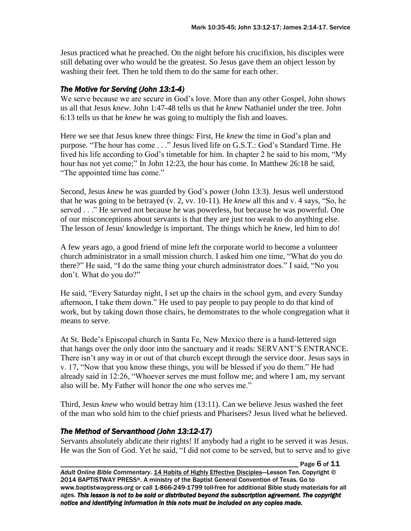Jesus practiced what he preached. On the night before his crucifixion, his disciples were still debating over who would be the greatest. So Jesus gave them an object lesson by washing their feet. Then he told them to do the same for each other.

### *The Motive for Serving (John 13:1-4)*

We serve because we are secure in God's love. More than any other Gospel, John shows us all that Jesus *knew*. John 1:47-48 tells us that he *knew* Nathaniel under the tree. John 6:13 tells us that he *knew* he was going to multiply the fish and loaves.

Here we see that Jesus knew three things: First, He *knew* the time in God's plan and purpose. "The hour has come . . ." Jesus lived life on G.S.T.: God's Standard Time. He lived his life according to God's timetable for him. In chapter 2 he said to his mom, "My hour has not yet come;" In John 12:23, the hour has come. In Matthew 26:18 he said, "The appointed time has come."

Second, Jesus *knew* he was guarded by God's power (John 13:3). Jesus well understood that he was going to be betrayed (v. 2, vv. 10-11). He *knew* all this and v. 4 says, "So, he served . . ." He served not because he was powerless, but because he was powerful. One of our misconceptions about servants is that they are just too weak to do anything else. The lesson of Jesus' knowledge is important. The things which he *knew*, led him to *do*!

A few years ago, a good friend of mine left the corporate world to become a volunteer church administrator in a small mission church. I asked him one time, "What do you do there?" He said, "I do the same thing your church administrator does." I said, "No you don't. What do you do?"

He said, "Every Saturday night, I set up the chairs in the school gym, and every Sunday afternoon, I take them down." He used to pay people to pay people to do that kind of work, but by taking down those chairs, he demonstrates to the whole congregation what it means to serve.

At St. Bede's Episcopal church in Santa Fe, New Mexico there is a hand-lettered sign that hangs over the only door into the sanctuary and it reads: SERVANT'S ENTRANCE. There isn't any way in or out of that church except through the service door. Jesus says in v. 17, "Now that you know these things, you will be blessed if you do them." He had already said in 12:26, "Whoever serves me must follow me; and where I am, my servant also will be. My Father will honor the one who serves me."

Third, Jesus *knew* who would betray him (13:11). Can we believe Jesus washed the feet of the man who sold him to the chief priests and Pharisees? Jesus lived what he believed.

#### *The Method of Servanthood (John 13:12-17)*

Servants absolutely abdicate their rights! If anybody had a right to be served it was Jesus. He was the Son of God. Yet he said, "I did not come to be served, but to serve and to give

Page 6 of 11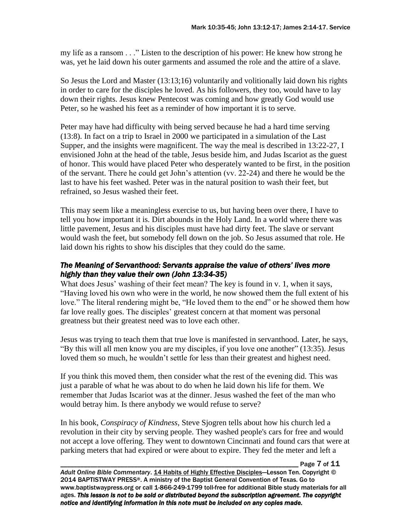my life as a ransom . . ." Listen to the description of his power: He knew how strong he was, yet he laid down his outer garments and assumed the role and the attire of a slave.

So Jesus the Lord and Master (13:13;16) voluntarily and volitionally laid down his rights in order to care for the disciples he loved. As his followers, they too, would have to lay down their rights. Jesus knew Pentecost was coming and how greatly God would use Peter, so he washed his feet as a reminder of how important it is to serve.

Peter may have had difficulty with being served because he had a hard time serving (13:8). In fact on a trip to Israel in 2000 we participated in a simulation of the Last Supper, and the insights were magnificent. The way the meal is described in 13:22-27, I envisioned John at the head of the table, Jesus beside him, and Judas Iscariot as the guest of honor. This would have placed Peter who desperately wanted to be first, in the position of the servant. There he could get John's attention (vv. 22-24) and there he would be the last to have his feet washed. Peter was in the natural position to wash their feet, but refrained, so Jesus washed their feet.

This may seem like a meaningless exercise to us, but having been over there, I have to tell you how important it is. Dirt abounds in the Holy Land. In a world where there was little pavement, Jesus and his disciples must have had dirty feet. The slave or servant would wash the feet, but somebody fell down on the job. So Jesus assumed that role. He laid down his rights to show his disciples that they could do the same.

#### *The Meaning of Servanthood: Servants appraise the value of others' lives more highly than they value their own (John 13:34-35)*

What does Jesus' washing of their feet mean? The key is found in v. 1, when it says, "Having loved his own who were in the world, he now showed them the full extent of his love." The literal rendering might be, "He loved them to the end" or he showed them how far love really goes. The disciples' greatest concern at that moment was personal greatness but their greatest need was to love each other.

Jesus was trying to teach them that true love is manifested in servanthood. Later, he says, "By this will all men know you are my disciples, if you love one another" (13:35). Jesus loved them so much, he wouldn't settle for less than their greatest and highest need.

If you think this moved them, then consider what the rest of the evening did. This was just a parable of what he was about to do when he laid down his life for them. We remember that Judas Iscariot was at the dinner. Jesus washed the feet of the man who would betray him. Is there anybody we would refuse to serve?

In his book, *Conspiracy of Kindness*, Steve Sjogren tells about how his church led a revolution in their city by serving people. They washed people's cars for free and would not accept a love offering. They went to downtown Cincinnati and found cars that were at parking meters that had expired or were about to expire. They fed the meter and left a

Page 7 of 11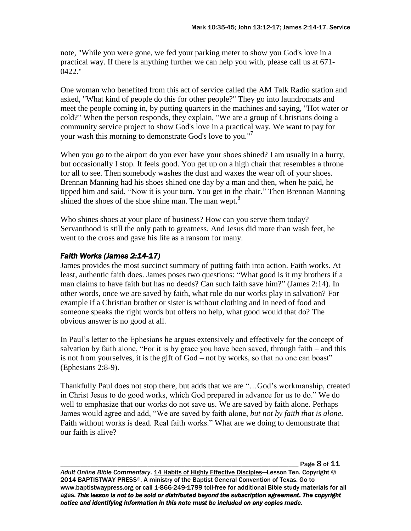note, "While you were gone, we fed your parking meter to show you God's love in a practical way. If there is anything further we can help you with, please call us at 671- 0422."

One woman who benefited from this act of service called the AM Talk Radio station and asked, "What kind of people do this for other people?" They go into laundromats and meet the people coming in, by putting quarters in the machines and saying, "Hot water or cold?" When the person responds, they explain, "We are a group of Christians doing a community service project to show God's love in a practical way. We want to pay for your wash this morning to demonstrate God's love to you."<sup>7</sup>

When you go to the airport do you ever have your shoes shined? I am usually in a hurry, but occasionally I stop. It feels good. You get up on a high chair that resembles a throne for all to see. Then somebody washes the dust and waxes the wear off of your shoes. Brennan Manning had his shoes shined one day by a man and then, when he paid, he tipped him and said, "Now it is your turn. You get in the chair." Then Brennan Manning shined the shoes of the shoe shine man. The man wept.<sup>8</sup>

Who shines shoes at your place of business? How can you serve them today? Servanthood is still the only path to greatness. And Jesus did more than wash feet, he went to the cross and gave his life as a ransom for many.

### *Faith Works (James 2:14-17)*

James provides the most succinct summary of putting faith into action. Faith works. At least, authentic faith does. James poses two questions: "What good is it my brothers if a man claims to have faith but has no deeds? Can such faith save him?" (James 2:14). In other words, once we are saved by faith, what role do our works play in salvation? For example if a Christian brother or sister is without clothing and in need of food and someone speaks the right words but offers no help, what good would that do? The obvious answer is no good at all.

In Paul's letter to the Ephesians he argues extensively and effectively for the concept of salvation by faith alone, "For it is by grace you have been saved, through faith – and this is not from yourselves, it is the gift of God – not by works, so that no one can boast" (Ephesians 2:8-9).

Thankfully Paul does not stop there, but adds that we are "…God's workmanship, created in Christ Jesus to do good works, which God prepared in advance for us to do." We do well to emphasize that our works do not save us. We are saved by faith alone. Perhaps James would agree and add, "We are saved by faith alone, *but not by faith that is alone*. Faith without works is dead. Real faith works." What are we doing to demonstrate that our faith is alive?

Page 8 of 11

*Adult Online Bible Commentary*. 14 Habits of Highly Effective Disciples—Lesson Ten. Copyright © 2014 BAPTISTWAY PRESS®. A ministry of the Baptist General Convention of Texas. Go to www.baptistwaypress.org or call 1-866-249-1799 toll-free for additional Bible study materials for all ages. *This lesson is not to be sold or distributed beyond the subscription agreement. The copyright notice and identifying information in this note must be included on any copies made.*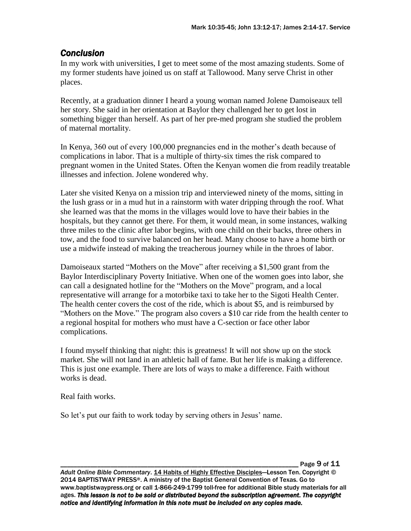## *Conclusion*

In my work with universities, I get to meet some of the most amazing students. Some of my former students have joined us on staff at Tallowood. Many serve Christ in other places.

Recently, at a graduation dinner I heard a young woman named Jolene Damoiseaux tell her story. She said in her orientation at Baylor they challenged her to get lost in something bigger than herself. As part of her pre-med program she studied the problem of maternal mortality.

In Kenya, 360 out of every 100,000 pregnancies end in the mother's death because of complications in labor. That is a multiple of thirty-six times the risk compared to pregnant women in the United States. Often the Kenyan women die from readily treatable illnesses and infection. Jolene wondered why.

Later she visited Kenya on a mission trip and interviewed ninety of the moms, sitting in the lush grass or in a mud hut in a rainstorm with water dripping through the roof. What she learned was that the moms in the villages would love to have their babies in the hospitals, but they cannot get there. For them, it would mean, in some instances, walking three miles to the clinic after labor begins, with one child on their backs, three others in tow, and the food to survive balanced on her head. Many choose to have a home birth or use a midwife instead of making the treacherous journey while in the throes of labor.

Damoiseaux started "Mothers on the Move" after receiving a \$1,500 grant from the Baylor Interdisciplinary Poverty Initiative. When one of the women goes into labor, she can call a designated hotline for the "Mothers on the Move" program, and a local representative will arrange for a motorbike taxi to take her to the Sigoti Health Center. The health center covers the cost of the ride, which is about \$5, and is reimbursed by "Mothers on the Move." The program also covers a \$10 car ride from the health center to a regional hospital for mothers who must have a C-section or face other labor complications.

I found myself thinking that night: this is greatness! It will not show up on the stock market. She will not land in an athletic hall of fame. But her life is making a difference. This is just one example. There are lots of ways to make a difference. Faith without works is dead.

Real faith works.

So let's put our faith to work today by serving others in Jesus' name.

Page 9 of 11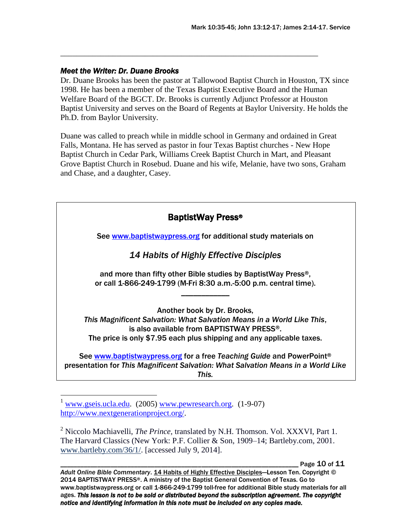#### *Meet the Writer: Dr. Duane Brooks*

Dr. Duane Brooks has been the pastor at Tallowood Baptist Church in Houston, TX since 1998. He has been a member of the Texas Baptist Executive Board and the Human Welfare Board of the BGCT. Dr. Brooks is currently Adjunct Professor at Houston Baptist University and serves on the Board of Regents at Baylor University. He holds the Ph.D. from Baylor University.

\_\_\_\_\_\_\_\_\_\_\_\_\_\_\_\_\_\_\_\_\_\_\_\_\_\_\_\_\_\_\_\_\_\_\_\_\_\_\_\_\_\_\_\_\_\_\_\_\_\_\_\_\_\_\_\_\_\_\_\_\_\_\_\_

Duane was called to preach while in middle school in Germany and ordained in Great Falls, Montana. He has served as pastor in four Texas Baptist churches - New Hope Baptist Church in Cedar Park, Williams Creek Baptist Church in Mart, and Pleasant Grove Baptist Church in Rosebud. Duane and his wife, Melanie, have two sons, Graham and Chase, and a daughter, Casey.

| See www.baptistwaypress.org for additional study materials on                                                                                                                                                               |
|-----------------------------------------------------------------------------------------------------------------------------------------------------------------------------------------------------------------------------|
| 14 Habits of Highly Effective Disciples                                                                                                                                                                                     |
| and more than fifty other Bible studies by BaptistWay Press <sup>®</sup> ,<br>or call 1-866-249-1799 (M-Fri 8:30 a.m.-5:00 p.m. central time).                                                                              |
| Another book by Dr. Brooks,<br>This Magnificent Salvation: What Salvation Means in a World Like This,<br>is also available from BAPTISTWAY PRESS®.<br>The price is only \$7.95 each plus shipping and any applicable taxes. |
| See www.baptistwaypress.org for a free Teaching Guide and PowerPoint®<br>presentation for This Magnificent Salvation: What Salvation Means in a World Like<br>This.                                                         |

Page 10 of 11

 $\frac{1}{2}$  [www.gseis.ucla.edu.](http://www.gseis.ucla.edu/) (2005) [www.pewresearch.org.](http://www.pewresearch.org/) (1-9-07) [http://www.nextgenerationproject.org/.](http://www.nextgenerationproject.org/)

<sup>2</sup> Niccolo Machiavelli, *The Prince,* translated by N.H. Thomson. Vol. XXXVI, Part 1. The Harvard Classics (New York: P.F. Collier & Son, 1909–14; Bartleby.com, 2001. [www.bartleby.com/36/1/.](http://www.bartleby.com/36/1/) [accessed July 9, 2014].

*Adult Online Bible Commentary*. 14 Habits of Highly Effective Disciples—Lesson Ten. Copyright © 2014 BAPTISTWAY PRESS®. A ministry of the Baptist General Convention of Texas. Go to www.baptistwaypress.org or call 1-866-249-1799 toll-free for additional Bible study materials for all ages. *This lesson is not to be sold or distributed beyond the subscription agreement. The copyright notice and identifying information in this note must be included on any copies made.*